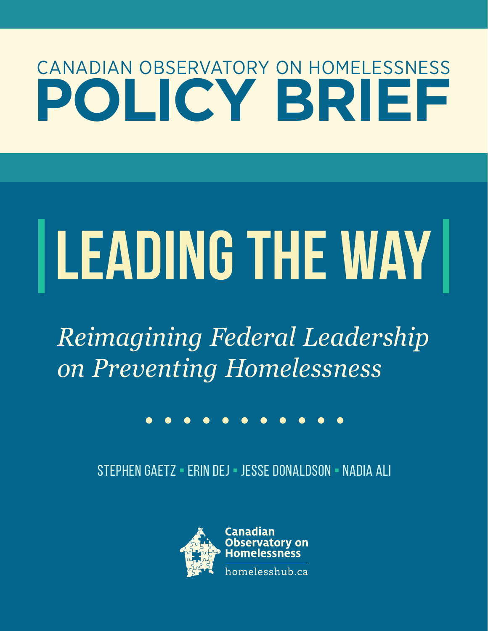# CANADIAN OBSERVATORY ON HOMELESSNESS **POLICY BRIEF**

# **LEADING THE WAY**

*Reimagining Federal Leadership on Preventing Homelessness*

# . . . . . . . . . . .

STEPHEN GAETZ ¡ Erin Dej ¡ Jesse Donaldson ¡ Nadia Ali

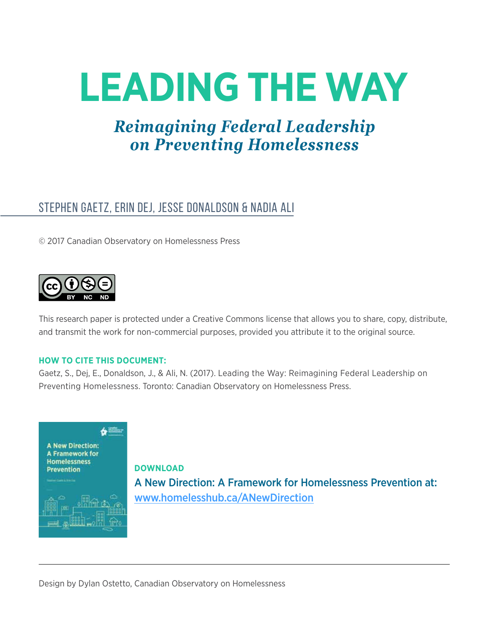# **LEADING THE WAY**

# *Reimagining Federal Leadership on Preventing Homelessness*

## STEPHEN GAETZ, ERIN DEJ, JESSE DONALDSON & NADIA ALI

© 2017 Canadian Observatory on Homelessness Press



This research paper is protected under a Creative Commons license that allows you to share, copy, distribute, and transmit the work for non-commercial purposes, provided you attribute it to the original source.

#### **HOW TO CITE THIS DOCUMENT:**

Gaetz, S., Dej, E., Donaldson, J., & Ali, N. (2017). Leading the Way: Reimagining Federal Leadership on Preventing Homelessness. Toronto: Canadian Observatory on Homelessness Press.



**DOWNLOAD** A New Direction: A Framework for Homelessness Prevention at: [www.homelesshub.ca/ANewDirection](http://www.homelesshub.ca/ANewDirection)

Design by Dylan Ostetto, Canadian Observatory on Homelessness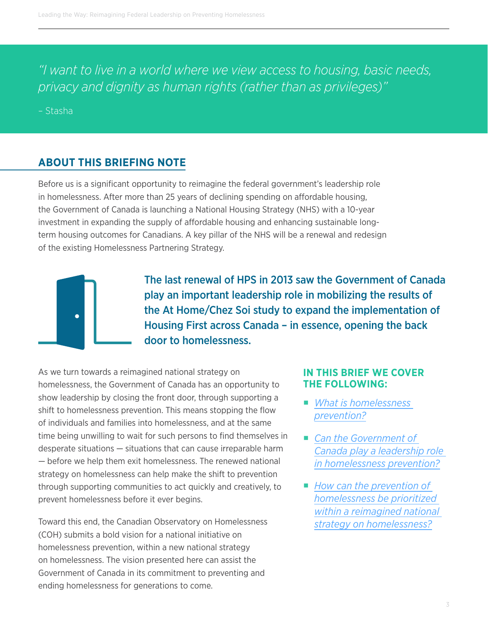*"I want to live in a world where we view access to housing, basic needs, privacy and dignity as human rights (rather than as privileges)"*

– [Stasha](http://homelesshub.ca/onepieceofmypuzzle) 

#### **ABOUT THIS BRIEFING NOTE**

Before us is a significant opportunity to reimagine the federal government's leadership role in homelessness. After more than 25 years of declining spending on affordable housing, the Government of Canada is launching a National Housing Strategy (NHS) with a 10-year investment in expanding the supply of affordable housing and enhancing sustainable longterm housing outcomes for Canadians. A key pillar of the NHS will be a renewal and redesign of the existing Homelessness Partnering Strategy.



The last renewal of HPS in 2013 saw the Government of Canada play an important leadership role in mobilizing the results of the At Home/Chez Soi study to expand the implementation of Housing First across Canada – in essence, opening the back door to homelessness.

As we turn towards a reimagined national strategy on homelessness, the Government of Canada has an opportunity to show leadership by closing the front door, through supporting a shift to homelessness prevention. This means stopping the flow of individuals and families into homelessness, and at the same time being unwilling to wait for such persons to find themselves in desperate situations — situations that can cause irreparable harm — before we help them exit homelessness. The renewed national strategy on homelessness can help make the shift to prevention through supporting communities to act quickly and creatively, to prevent homelessness before it ever begins.

Toward this end, the Canadian Observatory on Homelessness (COH) submits a bold vision for a national initiative on homelessness prevention, within a new national strategy on homelessness. The vision presented here can assist the Government of Canada in its commitment to preventing and ending homelessness for generations to come.

#### **IN THIS BRIEF WE COVER THE FOLLOWING:**

- *What is homelessness [prevention?](#page-3-0)*
- *Can the Government of [Canada play a leadership role](#page-7-0)  [in homelessness prevention?](#page-7-0)*
- *How can the prevention of [homelessness be prioritized](#page-11-0)  [within a reimagined national](#page-11-0)  [strategy on homelessness?](#page-11-0)*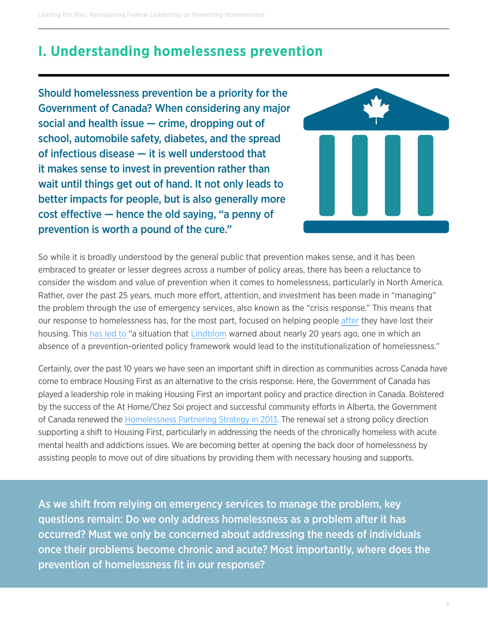## <span id="page-3-0"></span>**I. Understanding homelessness prevention**

Should homelessness prevention be a priority for the Government of Canada? When considering any major social and health issue — crime, dropping out of school, automobile safety, diabetes, and the spread of infectious disease — it is well understood that it makes sense to invest in prevention rather than wait until things get out of hand. It not only leads to better impacts for people, but is also generally more cost effective — hence the old saying, "a penny of prevention is worth a pound of the cure."



So while it is broadly understood by the general public that prevention makes sense, and it has been embraced to greater or lesser degrees across a number of policy areas, there has been a reluctance to consider the wisdom and value of prevention when it comes to homelessness, particularly in North America. Rather, over the past 25 years, much more effort, attention, and investment has been made in "managing" the problem through the use of emergency services, also known as the "crisis response." This means that our response to homelessness has, for the most part, focused on helping people [after](http://homelesshub.ca/sites/default/files/Culhane.2011.pdf) they have lost their housing. This [has led to](https://www.usich.gov/resources/uploads/asset_library/DennisCulhane_PrevCentApproHomelessnessAssist.pdf) "a situation that [Lindblom](https://www.researchgate.net/profile/Eric_Lindblom/publication/237343835_Toward_a_Comprehensive_Homelessness-Prevention_Strategy_1990/links/02e7e53ba9f560ca55000000/Toward-a-Comprehensive-Homelessness-Prevention-Strategy-1990.pdf) warned about nearly 20 years ago, one in which an absence of a prevention-oriented policy framework would lead to the institutionalization of homelessness."

Certainly, over the past 10 years we have seen an important shift in direction as communities across Canada have come to embrace Housing First as an alternative to the crisis response. Here, the Government of Canada has played a leadership role in making Housing First an important policy and practice direction in Canada. Bolstered by the success of the At Home/Chez Soi project and successful community efforts in Alberta, the Government of Canada renewed the [Homelessness Partnering Strategy in 2013.](http://www.caeh.ca/wp-content/uploads/2013/11/LandP-IIIb-Renewed-HPS-CAEH-with-speaking-points-revised-November-12-2013-3-2.pdf) The renewal set a strong policy direction supporting a shift to Housing First, particularly in addressing the needs of the chronically homeless with acute mental health and addictions issues. We are becoming better at opening the back door of homelessness by assisting people to move out of dire situations by providing them with necessary housing and supports.

As we shift from relying on emergency services to manage the problem, key questions remain: Do we only address homelessness as a problem after it has occurred? Must we only be concerned about addressing the needs of individuals once their problems become chronic and acute? Most importantly, where does the prevention of homelessness fit in our response?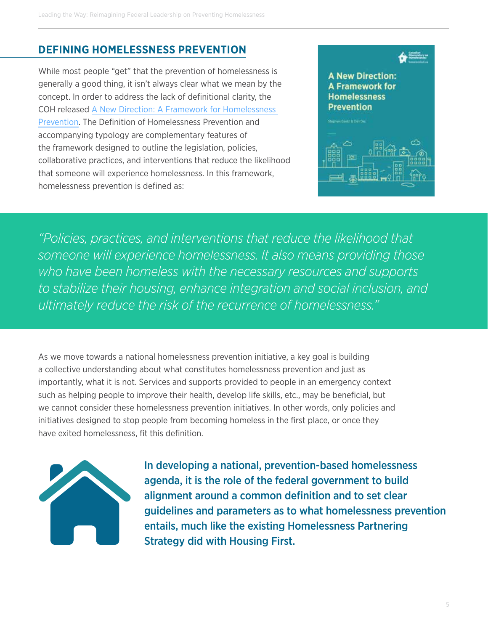#### **DEFINING HOMELESSNESS PREVENTION**

While most people "get" that the prevention of homelessness is generally a good thing, it isn't always clear what we mean by the concept. In order to address the lack of definitional clarity, the COH released [A New Direction: A Framework for Homelessness](http://homelesshub.ca/sites/default/files/COHPreventionFramework.pdf)  [Prevention.](http://homelesshub.ca/sites/default/files/COHPreventionFramework.pdf) The Definition of Homelessness Prevention and accompanying typology are complementary features of the framework designed to outline the legislation, policies, collaborative practices, and interventions that reduce the likelihood that someone will experience homelessness. In this framework, homelessness prevention is defined as:



*"Policies, practices, and interventions that reduce the likelihood that someone will experience homelessness. It also means providing those who have been homeless with the necessary resources and supports to stabilize their housing, enhance integration and social inclusion, and ultimately reduce the risk of the recurrence of homelessness."*

As we move towards a national homelessness prevention initiative, a key goal is building a collective understanding about what constitutes homelessness prevention and just as importantly, what it is not. Services and supports provided to people in an emergency context such as helping people to improve their health, develop life skills, etc., may be beneficial, but we cannot consider these homelessness prevention initiatives. In other words, only policies and initiatives designed to stop people from becoming homeless in the first place, or once they have exited homelessness, fit this definition.



In developing a national, prevention-based homelessness agenda, it is the role of the federal government to build alignment around a common definition and to set clear guidelines and parameters as to what homelessness prevention entails, much like the existing Homelessness Partnering Strategy did with Housing First.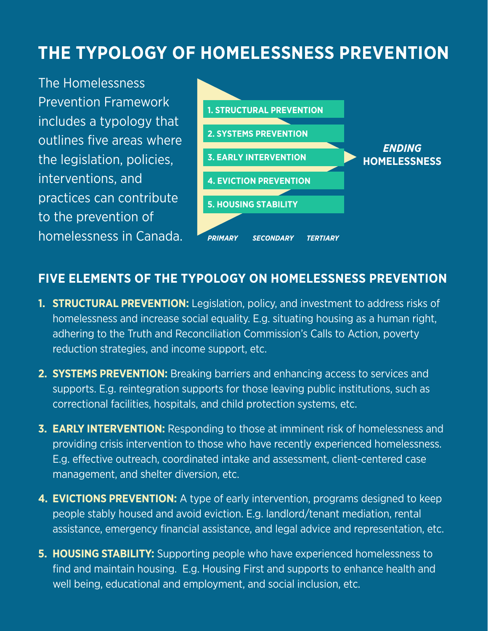# **THE TYPOLOGY OF HOMELESSNESS PREVENTION**

The Homelessness Prevention Framework includes a typology that outlines five areas where the legislation, policies, interventions, and practices can contribute to the prevention of homelessness in Canada.



#### **FIVE ELEMENTS OF THE TYPOLOGY ON HOMELESSNESS PREVENTION**

- **1. STRUCTURAL PREVENTION:** Legislation, policy, and investment to address risks of homelessness and increase social equality. E.g. situating housing as a human right, adhering to the Truth and Reconciliation Commission's Calls to Action, poverty reduction strategies, and income support, etc.
- **2. SYSTEMS PREVENTION:** Breaking barriers and enhancing access to services and supports. E.g. reintegration supports for those leaving public institutions, such as correctional facilities, hospitals, and child protection systems, etc.
- **3. EARLY INTERVENTION:** Responding to those at imminent risk of homelessness and providing crisis intervention to those who have recently experienced homelessness. E.g. effective outreach, coordinated intake and assessment, client-centered case management, and shelter diversion, etc.
- **4. EVICTIONS PREVENTION:** A type of early intervention, programs designed to keep people stably housed and avoid eviction. E.g. landlord/tenant mediation, rental assistance, emergency financial assistance, and legal advice and representation, etc.
- **5. HOUSING STABILITY:** Supporting people who have experienced homelessness to find and maintain housing. E.g. Housing First and supports to enhance health and well being, educational and employment, and social inclusion, etc.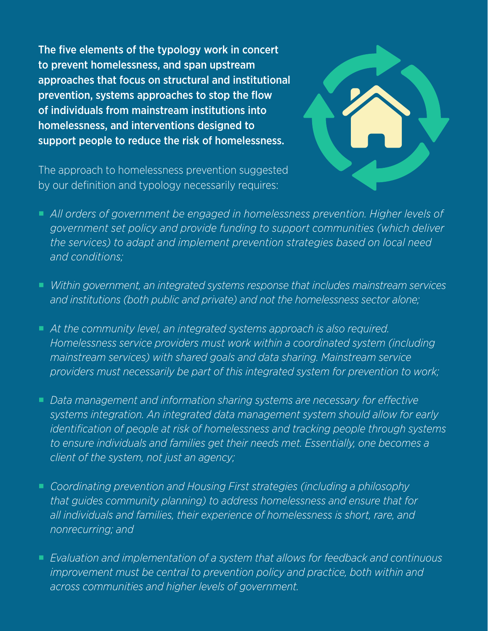The five elements of the typology work in concert to prevent homelessness, and span upstream approaches that focus on structural and institutional prevention, systems approaches to stop the flow of individuals from mainstream institutions into homelessness, and interventions designed to support people to reduce the risk of homelessness.



The approach to homelessness prevention suggested by our definition and typology necessarily requires:

- All orders of government be engaged in homelessness prevention. Higher levels of *government set policy and provide funding to support communities (which deliver the services) to adapt and implement prevention strategies based on local need and conditions;*
- *Within government, an integrated systems response that includes mainstream services and institutions (both public and private) and not the homelessness sector alone;*
- At the community level, an integrated systems approach is also required. *Homelessness service providers must work within a coordinated system (including mainstream services) with shared goals and data sharing. Mainstream service providers must necessarily be part of this integrated system for prevention to work;*
- *Data management and information sharing systems are necessary for effective systems integration. An integrated data management system should allow for early identification of people at risk of homelessness and tracking people through systems to ensure individuals and families get their needs met. Essentially, one becomes a client of the system, not just an agency;*
- ¡ *Coordinating prevention and Housing First strategies (including a philosophy that guides community planning) to address homelessness and ensure that for all individuals and families, their experience of homelessness is short, rare, and nonrecurring; and*
- *Evaluation and implementation of a system that allows for feedback and continuous improvement must be central to prevention policy and practice, both within and across communities and higher levels of government.*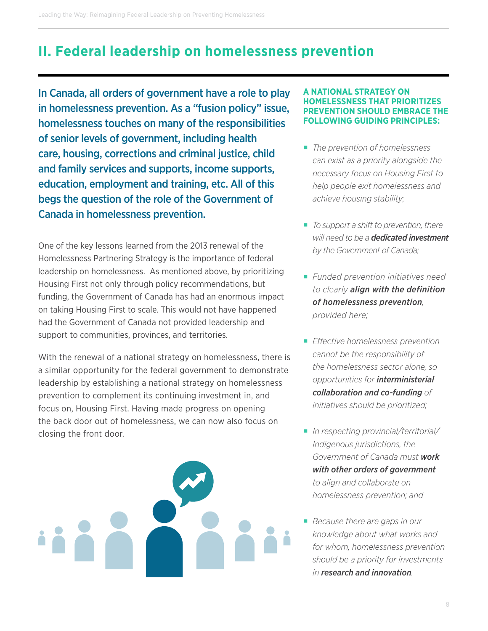# <span id="page-7-0"></span>**II. Federal leadership on homelessness prevention**

In Canada, all orders of government have a role to play in homelessness prevention. As a "fusion policy" issue, homelessness touches on many of the responsibilities of senior levels of government, including health care, housing, corrections and criminal justice, child and family services and supports, income supports, education, employment and training, etc. All of this begs the question of the role of the Government of Canada in homelessness prevention.

One of the key lessons learned from the 2013 renewal of the Homelessness Partnering Strategy is the importance of federal leadership on homelessness. As mentioned above, by prioritizing Housing First not only through policy recommendations, but funding, the Government of Canada has had an enormous impact on taking Housing First to scale. This would not have happened had the Government of Canada not provided leadership and support to communities, provinces, and territories.

With the renewal of a national strategy on homelessness, there is a similar opportunity for the federal government to demonstrate leadership by establishing a national strategy on homelessness prevention to complement its continuing investment in, and focus on, Housing First. Having made progress on opening the back door out of homelessness, we can now also focus on closing the front door.



#### **A NATIONAL STRATEGY ON HOMELESSNESS THAT PRIORITIZES VENTION SHOULD EMBRACE THE FOLLOWING GUIDING PRINCIPLES:**

- ¡ *The prevention of homelessness can exist as a priority alongside the necessary focus on Housing First to help people exit homelessness and achieve housing stability;*
- *To support a shift to prevention, there will need to be a dedicated investment by the Government of Canada;*
- ¡ *Funded prevention initiatives need to clearly align with the definition of homelessness prevention, provided here;*
- ¡ *Effective homelessness prevention cannot be the responsibility of the homelessness sector alone, so opportunities for interministerial collaboration and co-funding of initiatives should be prioritized;*
- ¡ *In respecting provincial/territorial/ Indigenous jurisdictions, the Government of Canada must work with other orders of government to align and collaborate on homelessness prevention; and*
- ¡ *Because there are gaps in our knowledge about what works and for whom, homelessness prevention should be a priority for investments in research and innovation.*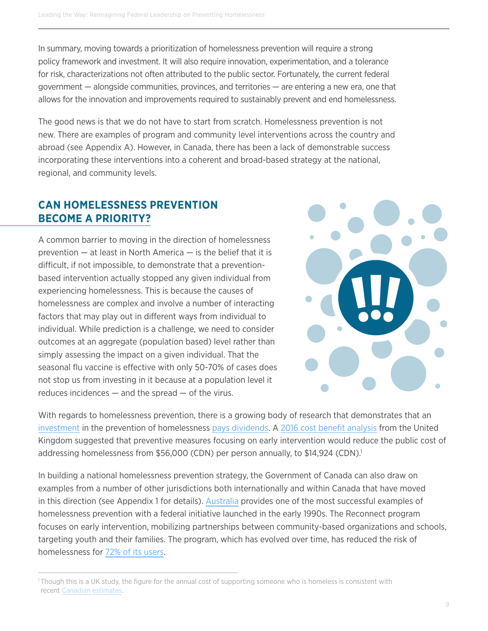In summary, moving towards a prioritization of homelessness prevention will require a strong policy framework and investment. It will also require innovation, experimentation, and a tolerance for risk, characterizations not often attributed to the public sector. Fortunately, the current federal government — alongside communities, provinces, and territories — are entering a new era, one that allows for the innovation and improvements required to sustainably prevent and end homelessness.

The good news is that we do not have to start from scratch. Homelessness prevention is not new. There are examples of program and community level interventions across the country and abroad (see Appendix A). However, in Canada, there has been a lack of demonstrable success incorporating these interventions into a coherent and broad-based strategy at the national, regional, and community levels.

#### **CAN HOMELESSNESS PREVENTION BECOME A PRIORITY?**

A common barrier to moving in the direction of homelessness prevention  $-$  at least in North America  $-$  is the belief that it is difficult, if not impossible, to demonstrate that a preventionbased intervention actually stopped any given individual from experiencing homelessness. This is because the causes of homelessness are complex and involve a number of interacting factors that may play out in different ways from individual to individual. While prediction is a challenge, we need to consider outcomes at an aggregate (population based) level rather than simply assessing the impact on a given individual. That the seasonal flu vaccine is effective with only 50-70% of cases does not stop us from investing in it because at a population level it reduces incidences  $-$  and the spread  $-$  of the virus.



With regards to homelessness prevention, there is a growing body of research that demonstrates that an [investment](http://homelesshub.ca/sites/default/files/2014 Successful Tenancies - FINAL.pdf) in the prevention of homelessness [pays dividends.](http://eprints.whiterose.ac.uk/106641/1/Better_than_cure_Testing_the_case_for_enhancing_prevention_of_single_homelessness_in_England_FINAL_FULL_REPORT_2.pdf) A [2016 cost benefit analysis](http://eprints.whiterose.ac.uk/106641/1/Better_than_cure_Testing_the_case_for_enhancing_prevention_of_single_homelessness_in_England_FINAL_FULL_REPORT_2.pdf) from the United Kingdom suggested that preventive measures focusing on early intervention would reduce the public cost of addressing homelessness from \$56,000 (CDN) per person annually, to \$14,924 (CDN).<sup>1</sup>

In building a national homelessness prevention strategy, the Government of Canada can also draw on examples from a number of other jurisdictions both internationally and within Canada that have moved in this direction (see Appendix 1 for details). [Australia](https://www.dss.gov.au/sites/default/files/documents/02_2013/dept_review_of_the_reconnect_program.pdf) provides one of the most successful examples of homelessness prevention with a federal initiative launched in the early 1990s. The Reconnect program focuses on early intervention, mobilizing partnerships between community-based organizations and schools, targeting youth and their families. The program, which has evolved over time, has reduced the risk of homelessness for [72% of its users.](https://www.dss.gov.au/sites/default/files/documents/02_2013/dept_review_of_the_reconnect_program.pdf)

<sup>1</sup> Though this is a UK study, the figure for the annual cost of supporting someone who is homeless is consistent with recent [Canadian estimates](http://cmajopen.ca/content/5/3/E576.full).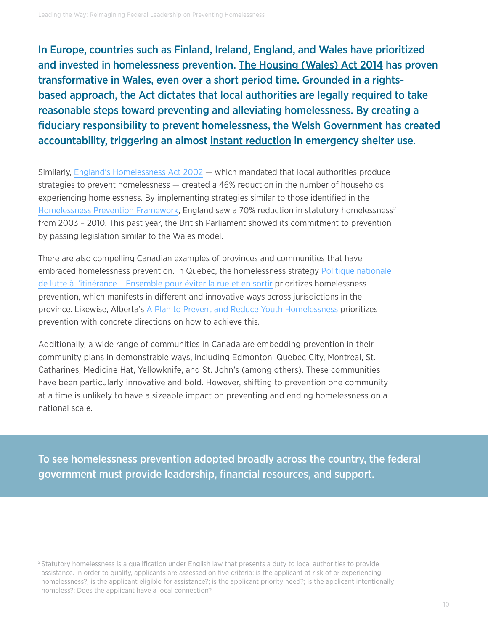In Europe, countries such as Finland, Ireland, England, and Wales have prioritized and invested in homelessness prevention. [The Housing \(Wales\) Act 2014](http://gov.wales/topics/housing-and-regeneration/legislation/housing-act/?lang=en) has proven transformative in Wales, even over a short period time. Grounded in a rightsbased approach, the Act dictates that local authorities are legally required to take reasonable steps toward preventing and alleviating homelessness. By creating a fiduciary responsibility to prevent homelessness, the Welsh Government has created accountability, [triggering](http://www.feantsa.org/download/article-4592410342917616893.pdf) an almost [instant reduction](http://www.feansta.org/download/article-4592410342917616893.pdf) in emergency shelter use.

Similarly, [England's Homelessness Act 2002](http://www.legislation.gov.uk/ukpga/2002/7/contents) — which mandated that local authorities produce strategies to prevent homelessness — created a 46% reduction in the number of households experiencing homelessness. By implementing strategies similar to those identified in the [Homelessness Prevention Framework,](http://homelesshub.ca/sites/default/files/COHPreventionFramework.pdf) England saw a 70% reduction in statutory homelessness<sup>2</sup> from 2003 – 2010. This past year, the British Parliament showed its commitment to prevention by passing legislation similar to the Wales model.

There are also compelling Canadian examples of provinces and communities that have embraced homelessness prevention. In Quebec, the homelessness strategy [Politique nationale](http://homelesshub.ca/resource/politique-nationale-de-lutte-%C3%A0-l%E2%80%99itin%C3%A9rance-ensemble-pour-%C3%A9viter-la-rue-et-en-sortir)  [de lutte à l'itinérance – Ensemble pour éviter la rue et en sortir](http://homelesshub.ca/resource/politique-nationale-de-lutte-%C3%A0-l%E2%80%99itin%C3%A9rance-ensemble-pour-%C3%A9viter-la-rue-et-en-sortir) prioritizes homelessness prevention, which manifests in different and innovative ways across jurisdictions in the province. Likewise, Alberta's [A Plan to Prevent and Reduce Youth Homelessness](http://www.humanservices.alberta.ca/documents/plan-to-prevent-and-reduce-youth-homelessness.pdf) prioritizes prevention with concrete directions on how to achieve this.

Additionally, a wide range of communities in Canada are embedding prevention in their community plans in demonstrable ways, including Edmonton, Quebec City, Montreal, St. Catharines, Medicine Hat, Yellowknife, and St. John's (among others). These communities have been particularly innovative and bold. However, shifting to prevention one community at a time is unlikely to have a sizeable impact on preventing and ending homelessness on a national scale.

To see homelessness prevention adopted broadly across the country, the federal government must provide leadership, financial resources, and support.

<sup>&</sup>lt;sup>2</sup> Statutory homelessness is a qualification under English law that presents a duty to local authorities to provide assistance. In order to qualify, applicants are assessed on five criteria: is the applicant at risk of or experiencing homelessness?; is the applicant eligible for assistance?; is the applicant priority need?; is the applicant intentionally homeless?; Does the applicant have a local connection?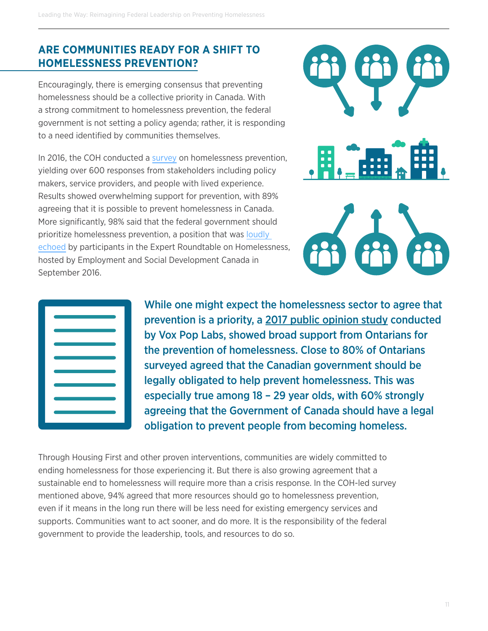#### **ARE COMMUNITIES READY FOR A SHIFT TO HOMELESSNESS PREVENTION?**

Encouragingly, there is emerging consensus that preventing homelessness should be a collective priority in Canada. With a strong commitment to homelessness prevention, the federal government is not setting a policy agenda; rather, it is responding to a need identified by communities themselves.

In 2016, the COH conducted a [survey](http://homelesshub.ca/blog/looking-forward-shifting-towards-homelessness-prevention) on homelessness prevention, yielding over 600 responses from stakeholders including policy makers, service providers, and people with lived experience. Results showed overwhelming support for prevention, with 89% agreeing that it is possible to prevent homelessness in Canada. More significantly, 98% said that the federal government should prioritize homelessness prevention, a position that was [loudly](http://conference.caeh.ca/wp-content/uploads/RPP8_HPS-Roundtable.pdf)  [echoed](http://conference.caeh.ca/wp-content/uploads/RPP8_HPS-Roundtable.pdf) by participants in the Expert Roundtable on Homelessness, hosted by Employment and Social Development Canada in September 2016.



| m                                                               |  |
|-----------------------------------------------------------------|--|
|                                                                 |  |
| the control of the control of the control of the control of the |  |
|                                                                 |  |
| a sa Ba                                                         |  |
|                                                                 |  |
| m                                                               |  |
|                                                                 |  |
| the control of the control of the control of                    |  |
|                                                                 |  |
| a sa na                                                         |  |
|                                                                 |  |
|                                                                 |  |
|                                                                 |  |
|                                                                 |  |

While one might expect the homelessness sector to agree that prevention is a priority, a [2017 public opinion study](http://homelesshub.ca/resource/housing-and-homelessness-ontario) conducted by Vox Pop Labs, showed broad support from Ontarians for the prevention of homelessness. Close to 80% of Ontarians surveyed agreed that the Canadian government should be legally obligated to help prevent homelessness. This was especially true among 18 – 29 year olds, with 60% strongly agreeing that the Government of Canada should have a legal obligation to prevent people from becoming homeless.

Through Housing First and other proven interventions, communities are widely committed to ending homelessness for those experiencing it. But there is also growing agreement that a sustainable end to homelessness will require more than a crisis response. In the COH-led survey mentioned above, 94% agreed that more resources should go to homelessness prevention, even if it means in the long run there will be less need for existing emergency services and supports. Communities want to act sooner, and do more. It is the responsibility of the federal government to provide the leadership, tools, and resources to do so.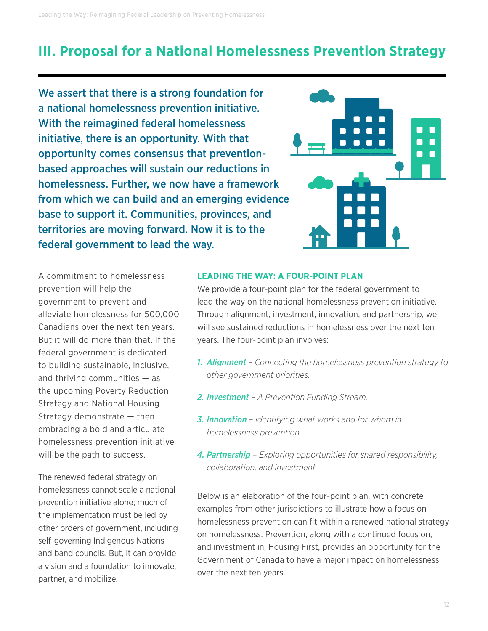# <span id="page-11-0"></span>**III. Proposal for a National Homelessness Prevention Strategy**

We assert that there is a strong foundation for a national homelessness prevention initiative. With the reimagined federal homelessness initiative, there is an opportunity. With that opportunity comes consensus that preventionbased approaches will sustain our reductions in homelessness. Further, we now have a framework from which we can build and an emerging evidence base to support it. Communities, provinces, and territories are moving forward. Now it is to the federal government to lead the way.



A commitment to homelessness prevention will help the government to prevent and alleviate homelessness for 500,000 Canadians over the next ten years. But it will do more than that. If the federal government is dedicated to building sustainable, inclusive, and thriving communities — as the upcoming Poverty Reduction Strategy and National Housing Strategy demonstrate — then embracing a bold and articulate homelessness prevention initiative will be the path to success.

The renewed federal strategy on homelessness cannot scale a national prevention initiative alone; much of the implementation must be led by other orders of government, including self-governing Indigenous Nations and band councils. But, it can provide a vision and a foundation to innovate, partner, and mobilize.

#### **LEADING THE WAY: A FOUR-POINT PLAN**

We provide a four-point plan for the federal government to lead the way on the national homelessness prevention initiative. Through alignment, investment, innovation, and partnership, we will see sustained reductions in homelessness over the next ten years. The four-point plan involves:

- *1. Alignment Connecting the homelessness prevention strategy to other government priorities.*
- *2. Investment A Prevention Funding Stream.*
- *3. Innovation Identifying what works and for whom in homelessness prevention.*
- *4. Partnership Exploring opportunities for shared responsibility, collaboration, and investment.*

Below is an elaboration of the four-point plan, with concrete examples from other jurisdictions to illustrate how a focus on homelessness prevention can fit within a renewed national strategy on homelessness. Prevention, along with a continued focus on, and investment in, Housing First, provides an opportunity for the Government of Canada to have a major impact on homelessness over the next ten years.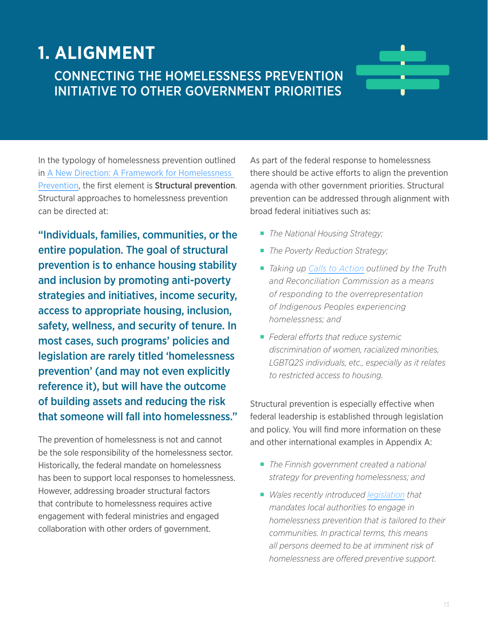# **1. ALIGNMENT** CONNECTING THE HOMELESSNESS PREVENTION INITIATIVE TO OTHER GOVERNMENT PRIORITIES



In the typology of homelessness prevention outlined in [A New Direction: A Framework for Homelessness](http://homelesshub.ca/ANewDirection)  [Prevention,](http://homelesshub.ca/ANewDirection) the first element is Structural prevention. Structural approaches to homelessness prevention can be directed at:

"Individuals, families, communities, or the entire population. The goal of structural prevention is to enhance housing stability and inclusion by promoting anti-poverty strategies and initiatives, income security, access to appropriate housing, inclusion, safety, wellness, and security of tenure. In most cases, such programs' policies and legislation are rarely titled 'homelessness prevention' (and may not even explicitly reference it), but will have the outcome of building assets and reducing the risk that someone will fall into homelessness."

The prevention of homelessness is not and cannot be the sole responsibility of the homelessness sector. Historically, the federal mandate on homelessness has been to support local responses to homelessness. However, addressing broader structural factors that contribute to homelessness requires active engagement with federal ministries and engaged collaboration with other orders of government.

As part of the federal response to homelessness there should be active efforts to align the prevention agenda with other government priorities. Structural prevention can be addressed through alignment with broad federal initiatives such as:

- ¡ *The National Housing Strategy;*
- *The Poverty Reduction Strategy;*
- *Taking up [Calls to Action](http://www.trc.ca/websites/trcinstitution/File/2015/Findings/Calls_to_Action_English2.pdf) outlined by the Truth and Reconciliation Commission as a means of responding to the overrepresentation of Indigenous Peoples experiencing homelessness; and*
- ¡ *Federal efforts that reduce systemic discrimination of women, racialized minorities, LGBTQ2S individuals, etc., especially as it relates to restricted access to housing.*

Structural prevention is especially effective when federal leadership is established through legislation and policy. You will find more information on these and other international examples in Appendix A:

- *The Finnish government created a national strategy for preventing homelessness; and*
- ¡ *Wales recently introduced [legislation](http://www.legislation.gov.uk/anaw/2014/7/contents/enacted) that mandates local authorities to engage in homelessness prevention that is tailored to their communities. In practical terms, this means all persons deemed to be at imminent risk of homelessness are offered preventive support.*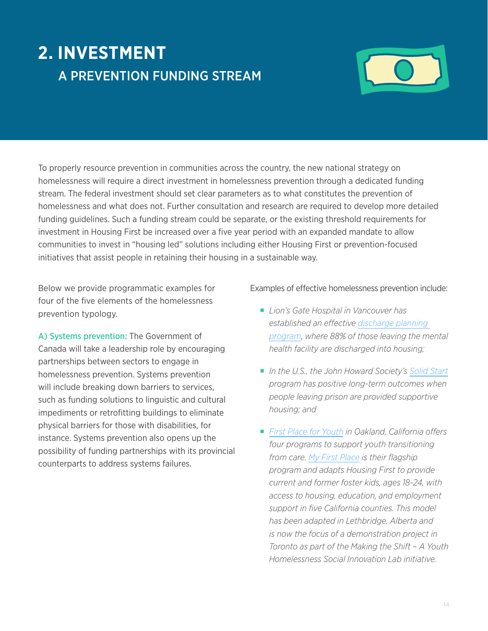# **2. INVESTMENT** A PREVENTION FUNDING STREAM



To properly resource prevention in communities across the country, the new national strategy on homelessness will require a direct investment in homelessness prevention through a dedicated funding stream. The federal investment should set clear parameters as to what constitutes the prevention of homelessness and what does not. Further consultation and research are required to develop more detailed funding guidelines. Such a funding stream could be separate, or the existing threshold requirements for investment in Housing First be increased over a five year period with an expanded mandate to allow communities to invest in "housing led" solutions including either Housing First or prevention-focused initiatives that assist people in retaining their housing in a sustainable way.

Below we provide programmatic examples for four of the five elements of the homelessness prevention typology.

A) Systems prevention: The Government of Canada will take a leadership role by encouraging partnerships between sectors to engage in homelessness prevention. Systems prevention will include breaking down barriers to services. such as funding solutions to linguistic and cultural impediments or retrofitting buildings to eliminate physical barriers for those with disabilities, for instance. Systems prevention also opens up the possibility of funding partnerships with its provincial counterparts to address systems failures.

Examples of effective homelessness prevention include:

- ¡ *Lion's Gate Hospital in Vancouver has established an effective [discharge planning](http://homelesshub.ca/sites/default/files/Vol2_CaseStudies.pdf)  [program,](http://homelesshub.ca/sites/default/files/Vol2_CaseStudies.pdf) where 88% of those leaving the mental health facility are discharged into housing;*
- *In the U.S., the John Howard Society's [Solid Start](http://homelesshub.ca/resource/reintegration-ontario-practices-priorities-and-effective-models) program has positive long-term outcomes when people leaving prison are provided supportive housing; and*
- *[First Place for Youth](http://www.firstplaceforyouth.org/what-we-do/programs/#http://www.firstplaceforyouth.org/) in Oakland, California offers four programs to support youth transitioning from care. [My First Place](http://www.firstplaceforyouth.org/what-we-do/programs/first-place/) is their flagship program and adapts Housing First to provide current and former foster kids, ages 18-24, with access to housing, education, and employment support in five California counties. This model has been adapted in Lethbridge, Alberta and is now the focus of a demonstration project in Toronto as part of the Making the Shift – A Youth Homelessness Social Innovation Lab initiative.*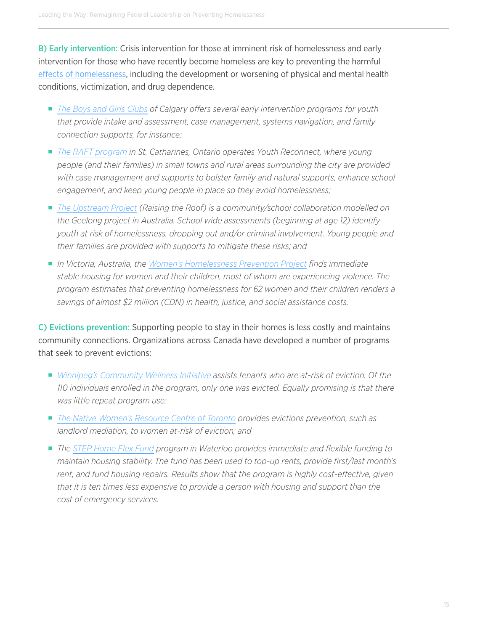B) Early intervention: Crisis intervention for those at imminent risk of homelessness and early intervention for those who have recently become homeless are key to preventing the harmful [effects of homelessness](http://www.homeless.org.uk/sites/default/files/site-attachments/Roundup_2715_Homelessness_aw.pdf), including the development or worsening of physical and mental health conditions, victimization, and drug dependence.

- ¡ *[The Boys and Girls Clubs](http://www.boysandgirlsclubsofcalgary.ca/programs/) of Calgary offers several early intervention programs for youth that provide intake and assessment, case management, systems navigation, and family connection supports, for instance;*
- ¡ *[The RAFT program](http://www.theraft.ca/files/RAFT-YouthReconnectWorks.pdf) in St. Catharines, Ontario operates Youth Reconnect, where young people (and their families) in small towns and rural areas surrounding the city are provided with case management and supports to bolster family and natural supports, enhance school engagement, and keep young people in place so they avoid homelessness;*
- ¡ *[The Upstream Project](http://www.raisingtheroof.org/what-we-do/our-initiatives/the-upstream-project/) (Raising the Roof) is a community/school collaboration modelled on the Geelong project in Australia. School wide assessments (beginning at age 12) identify youth at risk of homelessness, dropping out and/or criminal involvement. Young people and their families are provided with supports to mitigate these risks; and*
- ¡ *In Victoria, Australia, the [Women's Homelessness Prevention Project](https://www.justiceconnect.org.au/sites/default/files/Keeping Women and Children Housed web.pdf) finds immediate stable housing for women and their children, most of whom are experiencing violence. The program estimates that preventing homelessness for 62 women and their children renders a savings of almost \$2 million (CDN) in health, justice, and social assistance costs.*

C) Evictions prevention: Supporting people to stay in their homes is less costly and maintains community connections. Organizations across Canada have developed a number of programs that seek to prevent evictions:

- *[Winnipeg's Community Wellness Initiative](http://homelesshub.ca/resource/holding-supporting-successful-tenancies-hard-house) assists tenants who are at-risk of eviction. Of the 110 individuals enrolled in the program, only one was evicted. Equally promising is that there was little repeat program use;*
- *[The Native Women's Resource Centre of Toronto](http://nwrct.ca/programs/housing/) provides evictions prevention, such as landlord mediation, to women at-risk of eviction; and*
- ¡ *The [STEP Home Flex Fund](http://communityservices.regionofwaterloo.ca/en/communityProgramsSupports/resources/flexfundreport.pdf) program in Waterloo provides immediate and flexible funding to maintain housing stability. The fund has been used to top-up rents, provide first/last month's rent, and fund housing repairs. Results show that the program is highly cost-effective, given that it is ten times less expensive to provide a person with housing and support than the cost of emergency services.*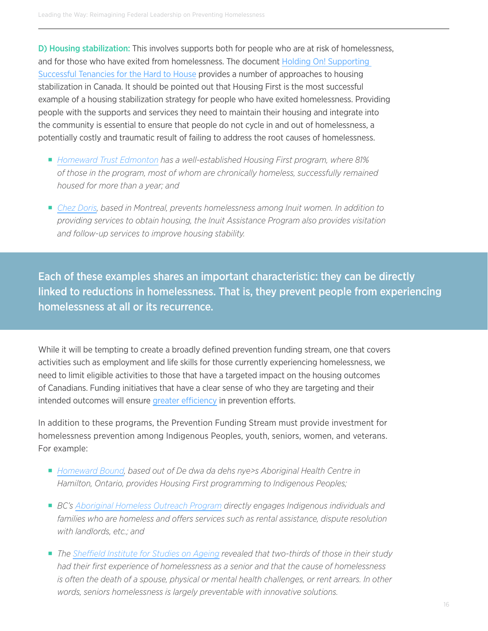D) Housing stabilization: This involves supports both for people who are at risk of homelessness, and for those who have exited from homelessness. The document [Holding On! Supporting](http://homelesshub.ca/resource/holding-supporting-successful-tenancies-hard-house)  [Successful Tenancies for the Hard to House](http://homelesshub.ca/resource/holding-supporting-successful-tenancies-hard-house) provides a number of approaches to housing stabilization in Canada. It should be pointed out that Housing First is the most successful example of a housing stabilization strategy for people who have exited homelessness. Providing people with the supports and services they need to maintain their housing and integrate into the community is essential to ensure that people do not cycle in and out of homelessness, a potentially costly and traumatic result of failing to address the root causes of homelessness.

- ¡ *[Homeward Trust Edmonton](http://homewardtrust.ca/) has a well-established Housing First program, where 81% of those in the program, most of whom are chronically homeless, successfully remained housed for more than a year; and*
- ¡ *[Chez Doris](http://www.chezdoris.org/en/services-programs/inuit-assistance-aboriginal-housing/), based in Montreal, prevents homelessness among Inuit women. In addition to providing services to obtain housing, the Inuit Assistance Program also provides visitation and follow-up services to improve housing stability.*

Each of these examples shares an important characteristic: they can be directly linked to reductions in homelessness. That is, they prevent people from experiencing homelessness at all or its recurrence.

While it will be tempting to create a broadly defined prevention funding stream, one that covers activities such as employment and life skills for those currently experiencing homelessness, we need to limit eligible activities to those that have a targeted impact on the housing outcomes of Canadians. Funding initiatives that have a clear sense of who they are targeting and their intended outcomes will ensure [greater efficiency](http://homelesshub.ca/resource/prevention-centered-approach-homelessness-assistance-paradigm-shift) in prevention efforts.

In addition to these programs, the Prevention Funding Stream must provide investment for homelessness prevention among Indigenous Peoples, youth, seniors, women, and veterans. For example:

- *[Homeward Bound,](http://aboriginalhealthcentre.com/services/homeward-bound/) based out of De dwa da dehs nye>s Aboriginal Health Centre in Hamilton, Ontario, provides Housing First programming to Indigenous Peoples;*
- ¡ *BC's [Aboriginal Homeless Outreach Program](http://www.vnfc.ca/downloads/homeless-program.pdf) directly engages Indigenous individuals and families who are homeless and offers services such as rental assistance, dispute resolution with landlords, etc.; and*
- *The [Sheffield Institute for Studies on Ageing](https://www.kcl.ac.uk/sspp/policy-institute/scwru/pubs/2004/Crane-et-al-2004-Homeless-prevention.pdf) revealed that two-thirds of those in their study had their first experience of homelessness as a senior and that the cause of homelessness is often the death of a spouse, physical or mental health challenges, or rent arrears. In other words, seniors homelessness is largely preventable with innovative solutions.*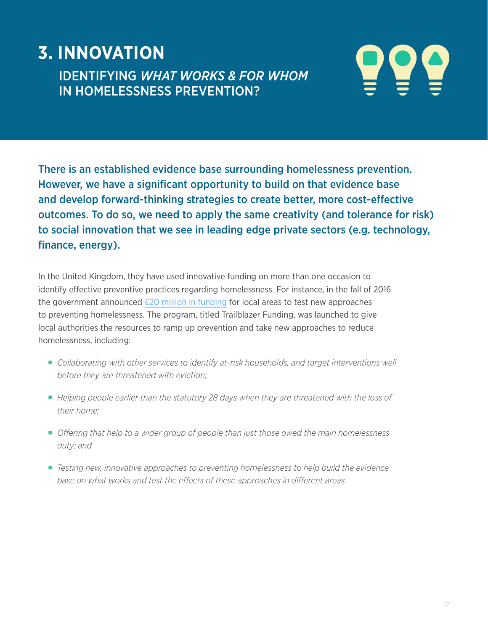# **3. INNOVATION**

IDENTIFYING *WHAT WORKS & FOR WHOM* IN HOMELESSNESS PREVENTION?



There is an established evidence base surrounding homelessness prevention. However, we have a significant opportunity to build on that evidence base and develop forward-thinking strategies to create better, more cost-effective outcomes. To do so, we need to apply the same creativity (and tolerance for risk) to social innovation that we see in leading edge private sectors (e.g. technology, finance, energy).

In the United Kingdom, they have used innovative funding on more than one occasion to identify effective preventive practices regarding homelessness. For instance, in the fall of 2016 the government announced  $E20$  million in funding for local areas to test new approaches to preventing homelessness. The program, titled Trailblazer Funding, was launched to give local authorities the resources to ramp up prevention and take new approaches to reduce homelessness, including:

- ¡ *Collaborating with other services to identify at-risk households, and target interventions well before they are threatened with eviction;*
- ¡ *Helping people earlier than the statutory 28 days when they are threatened with the loss of their home;*
- ¡ *Offering that help to a wider group of people than just those owed the main homelessness duty; and*
- ¡ *Testing new, innovative approaches to preventing homelessness to help build the evidence base on what works and test the effects of these approaches in different areas.*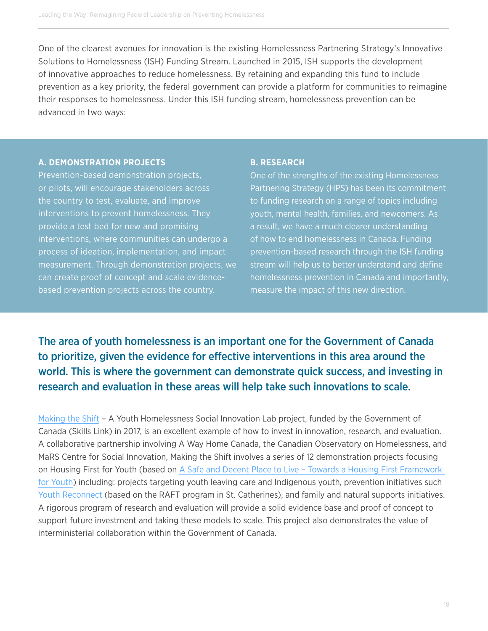One of the clearest avenues for innovation is the existing Homelessness Partnering Strategy's Innovative Solutions to Homelessness (ISH) Funding Stream. Launched in 2015, ISH supports the development of innovative approaches to reduce homelessness. By retaining and expanding this fund to include prevention as a key priority, the federal government can provide a platform for communities to reimagine their responses to homelessness. Under this ISH funding stream, homelessness prevention can be advanced in two ways:

#### **A. DEMONSTRATION PROJECTS**

Prevention-based demonstration projects, or pilots, will encourage stakeholders across the country to test, evaluate, and improve interventions to prevent homelessness. They provide a test bed for new and promising interventions, where communities can undergo a process of ideation, implementation, and impact measurement. Through demonstration projects, we can create proof of concept and scale evidencebased prevention projects across the country.

#### **B. RESEARCH**

One of the strengths of the existing Homelessness Partnering Strategy (HPS) has been its commitment to funding research on a range of topics including youth, mental health, families, and newcomers. As a result, we have a much clearer understanding of how to end homelessness in Canada. Funding prevention-based research through the ISH funding stream will help us to better understand and define homelessness prevention in Canada and importantly, measure the impact of this new direction.

The area of youth homelessness is an important one for the Government of Canada to prioritize, given the evidence for effective interventions in this area around the world. This is where the government can demonstrate quick success, and investing in research and evaluation in these areas will help take such innovations to scale.

[Making the Shift](http://homelesshub.ca/content/making-shift-youth-homelessness-social-innovation-lab) – A Youth Homelessness Social Innovation Lab project, funded by the Government of Canada (Skills Link) in 2017, is an excellent example of how to invest in innovation, research, and evaluation. A collaborative partnership involving A Way Home Canada, the Canadian Observatory on Homelessness, and MaRS Centre for Social Innovation, Making the Shift involves a series of 12 demonstration projects focusing on Housing First for Youth (based on [A Safe and Decent Place to Live – Towards a Housing First Framework](http://homelesshub.ca/resource/safe-and-decent-place-live-towards-housing-first-framework-youth)  [for Youth\)](http://homelesshub.ca/resource/safe-and-decent-place-live-towards-housing-first-framework-youth) including: projects targeting youth leaving care and Indigenous youth, prevention initiatives such [Youth Reconnect](http://www.theraft.ca/files/RAFT-YouthReconnectWorks.pdf) (based on the RAFT program in St. Catherines), and family and natural supports initiatives. A rigorous program of research and evaluation will provide a solid evidence base and proof of concept to support future investment and taking these models to scale. This project also demonstrates the value of interministerial collaboration within the Government of Canada.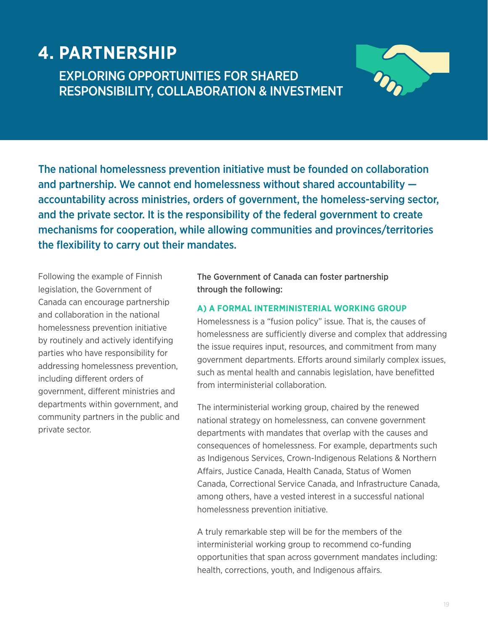# **4. PARTNERSHIP**

## EXPLORING OPPORTUNITIES FOR SHARED RESPONSIBILITY, COLLABORATION & INVESTMENT



The national homelessness prevention initiative must be founded on collaboration and partnership. We cannot end homelessness without shared accountability accountability across ministries, orders of government, the homeless-serving sector, and the private sector. It is the responsibility of the federal government to create mechanisms for cooperation, while allowing communities and provinces/territories the flexibility to carry out their mandates.

Following the example of Finnish legislation, the Government of Canada can encourage partnership and collaboration in the national homelessness prevention initiative by routinely and actively identifying parties who have responsibility for addressing homelessness prevention, including different orders of government, different ministries and departments within government, and community partners in the public and private sector.

The Government of Canada can foster partnership through the following:

#### **A) A FORMAL INTERMINISTERIAL WORKING GROUP**

Homelessness is a "fusion policy" issue. That is, the causes of homelessness are sufficiently diverse and complex that addressing the issue requires input, resources, and commitment from many government departments. Efforts around similarly complex issues, such as mental health and cannabis legislation, have benefitted from interministerial collaboration.

The interministerial working group, chaired by the renewed national strategy on homelessness, can convene government departments with mandates that overlap with the causes and consequences of homelessness. For example, departments such as Indigenous Services, Crown-Indigenous Relations & Northern Affairs, Justice Canada, Health Canada, Status of Women Canada, Correctional Service Canada, and Infrastructure Canada, among others, have a vested interest in a successful national homelessness prevention initiative.

A truly remarkable step will be for the members of the interministerial working group to recommend co-funding opportunities that span across government mandates including: health, corrections, youth, and Indigenous affairs.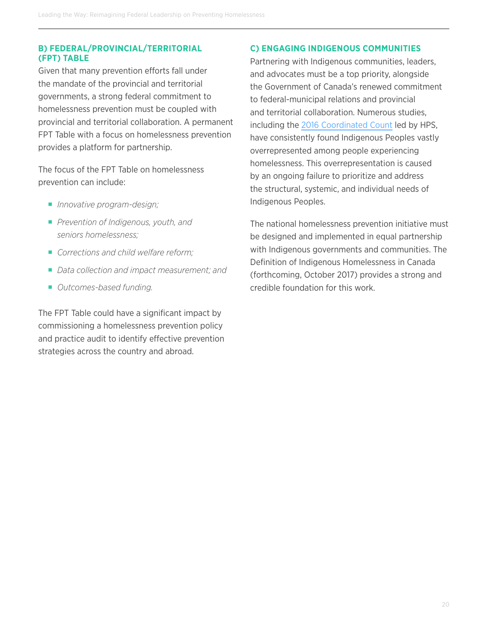#### **B) FEDERAL/PROVINCIAL/TERRITORIAL (FPT) TABLE**

Given that many prevention efforts fall under the mandate of the provincial and territorial governments, a strong federal commitment to homelessness prevention must be coupled with provincial and territorial collaboration. A permanent FPT Table with a focus on homelessness prevention provides a platform for partnership.

The focus of the FPT Table on homelessness prevention can include:

- ¡ *Innovative program-design;*
- *Prevention of Indigenous, youth, and seniors homelessness;*
- ¡ *Corrections and child welfare reform;*
- *Data collection and impact measurement; and*
- ¡ *Outcomes-based funding.*

The FPT Table could have a significant impact by commissioning a homelessness prevention policy and practice audit to identify effective prevention strategies across the country and abroad.

#### **C) ENGAGING INDIGENOUS COMMUNITIES**

Partnering with Indigenous communities, leaders, and advocates must be a top priority, alongside the Government of Canada's renewed commitment to federal-municipal relations and provincial and territorial collaboration. Numerous studies, including the [2016 Coordinated Count](http://publications.gc.ca/collections/collection_2017/edsc-esdc/Em12-9-2017-eng.pdf) led by HPS, have consistently found Indigenous Peoples vastly overrepresented among people experiencing homelessness. This overrepresentation is caused by an ongoing failure to prioritize and address the structural, systemic, and individual needs of Indigenous Peoples.

The national homelessness prevention initiative must be designed and implemented in equal partnership with Indigenous governments and communities. The Definition of Indigenous Homelessness in Canada (forthcoming, October 2017) provides a strong and credible foundation for this work.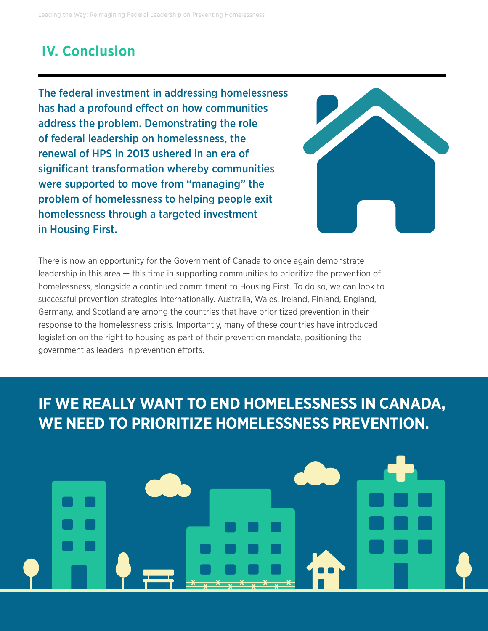# **IV. Conclusion**

The federal investment in addressing homelessness has had a profound effect on how communities address the problem. Demonstrating the role of federal leadership on homelessness, the renewal of HPS in 2013 ushered in an era of significant transformation whereby communities were supported to move from "managing" the problem of homelessness to helping people exit homelessness through a targeted investment in Housing First.



There is now an opportunity for the Government of Canada to once again demonstrate leadership in this area — this time in supporting communities to prioritize the prevention of homelessness, alongside a continued commitment to Housing First. To do so, we can look to successful prevention strategies internationally. Australia, Wales, Ireland, Finland, England, Germany, and Scotland are among the countries that have prioritized prevention in their response to the homelessness crisis. Importantly, many of these countries have introduced legislation on the right to housing as part of their prevention mandate, positioning the government as leaders in prevention efforts.

# **IF WE REALLY WANT TO END HOMELESSNESS IN CANADA, WE NEED TO PRIORITIZE HOMELESSNESS PREVENTION.**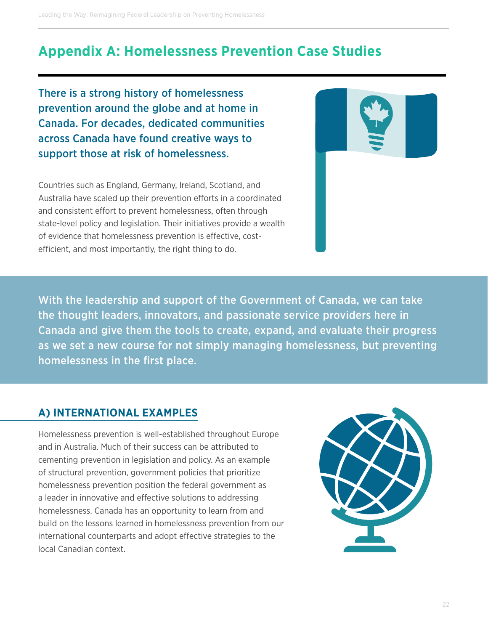Leading the Way: Reimagining Federal Leadership on Preventing Homelessness

# **Appendix A: Homelessness Prevention Case Studies**

There is a strong history of homelessness prevention around the globe and at home in Canada. For decades, dedicated communities across Canada have found creative ways to support those at risk of homelessness.

Countries such as England, Germany, Ireland, Scotland, and Australia have scaled up their prevention efforts in a coordinated and consistent effort to prevent homelessness, often through state-level policy and legislation. Their initiatives provide a wealth of evidence that homelessness prevention is effective, costefficient, and most importantly, the right thing to do.



With the leadership and support of the Government of Canada, we can take the thought leaders, innovators, and passionate service providers here in Canada and give them the tools to create, expand, and evaluate their progress as we set a new course for not simply managing homelessness, but preventing homelessness in the first place.

#### **A) INTERNATIONAL EXAMPLES**

Homelessness prevention is well-established throughout Europe and in Australia. Much of their success can be attributed to cementing prevention in legislation and policy. As an example of structural prevention, government policies that prioritize homelessness prevention position the federal government as a leader in innovative and effective solutions to addressing homelessness. Canada has an opportunity to learn from and build on the lessons learned in homelessness prevention from our international counterparts and adopt effective strategies to the local Canadian context.

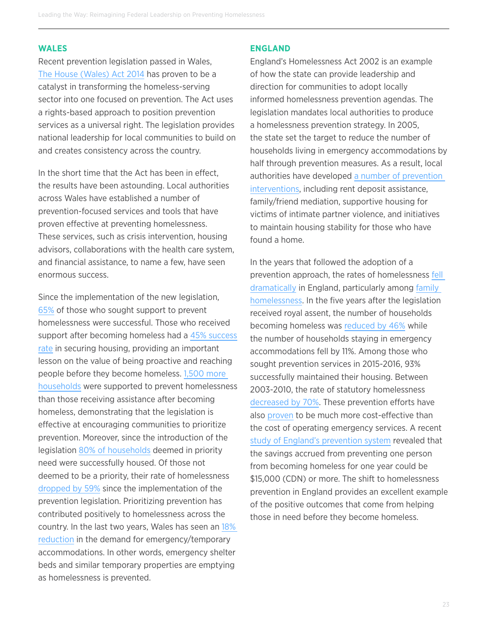#### **WALES**

Recent prevention legislation passed in Wales, [The House \(Wales\) Act 2014](http://www.legislation.gov.uk/anaw/2014/7/contents/enacted) has proven to be a catalyst in transforming the homeless-serving sector into one focused on prevention. The Act uses a rights-based approach to position prevention services as a universal right. The legislation provides national leadership for local communities to build on and creates consistency across the country.

In the short time that the Act has been in effect, the results have been astounding. Local authorities across Wales have established a number of prevention-focused services and tools that have proven effective at preventing homelessness. These services, such as crisis intervention, housing advisors, collaborations with the health care system, and financial assistance, to name a few, have seen enormous success.

Since the implementation of the new legislation, [65%](https://pdfs.semanticscholar.org/42e7/f57c2fa6f20ee04856f67b3b26872b9d8696.pdf) of those who sought support to prevent homelessness were successful. Those who received support after becoming homeless had a [45% success](https://pdfs.semanticscholar.org/42e7/f57c2fa6f20ee04856f67b3b26872b9d8696.pdf)  [rate](https://pdfs.semanticscholar.org/42e7/f57c2fa6f20ee04856f67b3b26872b9d8696.pdf) in securing housing, providing an important lesson on the value of being proactive and reaching people before they become homeless. [1,500 more](https://pdfs.semanticscholar.org/42e7/f57c2fa6f20ee04856f67b3b26872b9d8696.pdf)  [households](https://pdfs.semanticscholar.org/42e7/f57c2fa6f20ee04856f67b3b26872b9d8696.pdf) were supported to prevent homelessness than those receiving assistance after becoming homeless, demonstrating that the legislation is effective at encouraging communities to prioritize prevention. Moreover, since the introduction of the legislation [80% of households](https://pdfs.semanticscholar.org/42e7/f57c2fa6f20ee04856f67b3b26872b9d8696.pdf) deemed in priority need were successfully housed. Of those not deemed to be a priority, their rate of homelessness [dropped by 59%](https://pdfs.semanticscholar.org/42e7/f57c2fa6f20ee04856f67b3b26872b9d8696.pdf) since the implementation of the prevention legislation. Prioritizing prevention has contributed positively to homelessness across the country. In the last two years, Wales has seen an [18%](http://homelesshub.ca/resource/homelessness-prevention-reflecting-year-pioneering-welsh-legislation-practice)  [reduction](http://homelesshub.ca/resource/homelessness-prevention-reflecting-year-pioneering-welsh-legislation-practice) in the demand for emergency/temporary accommodations. In other words, emergency shelter beds and similar temporary properties are emptying as homelessness is prevented.

#### **ENGLAND**

England's Homelessness Act 2002 is an example of how the state can provide leadership and direction for communities to adopt locally informed homelessness prevention agendas. The legislation mandates local authorities to produce a homelessness prevention strategy. In 2005, the state set the target to reduce the number of households living in emergency accommodations by half through prevention measures. As a result, local authorities have developed [a number of prevention](https://england.shelter.org.uk/__data/assets/pdf_file/0009/39582/Homelessness_Prevention.pdf)  [interventions,](https://england.shelter.org.uk/__data/assets/pdf_file/0009/39582/Homelessness_Prevention.pdf) including rent deposit assistance, family/friend mediation, supportive housing for victims of intimate partner violence, and initiatives to maintain housing stability for those who have found a home.

In the years that followed the adoption of a prevention approach, the rates of homelessness [fell](http://homelesshub.ca/resource/effective-homelessness-prevention-explaining-reductions-homelessness-germany-and-england)  [dramatically](http://homelesshub.ca/resource/effective-homelessness-prevention-explaining-reductions-homelessness-germany-and-england) in England, particularly among [family](http://homelesshub.ca/resource/better-cure-testing-case-enhancing-prevention-single-homelessness-england)  [homelessness](http://homelesshub.ca/resource/better-cure-testing-case-enhancing-prevention-single-homelessness-england). In the five years after the legislation received royal assent, the number of households becoming homeless was [reduced by 46%](https://england.shelter.org.uk/__data/assets/pdf_file/0009/39582/Homelessness_Prevention.pdf) while the number of households staying in emergency accommodations fell by 11%. Among those who sought prevention services in 2015-2016, 93% successfully maintained their housing. Between 2003-2010, the rate of statutory homelessness [decreased by 70%](http://homelesshub.ca/resource/better-cure-testing-case-enhancing-prevention-single-homelessness-england). These prevention efforts have also [proven](http://webarchive.nationalarchives.gov.uk/20120919175331/http://www.communities.gov.uk/documents/housing/pdf/573347.pdf) to be much more cost-effective than the cost of operating emergency services. A recent [study of England's prevention system](http://homelesshub.ca/resource/better-cure-testing-case-enhancing-prevention-single-homelessness-england) revealed that the savings accrued from preventing one person from becoming homeless for one year could be \$15,000 (CDN) or more. The shift to homelessness prevention in England provides an excellent example of the positive outcomes that come from helping those in need before they become homeless.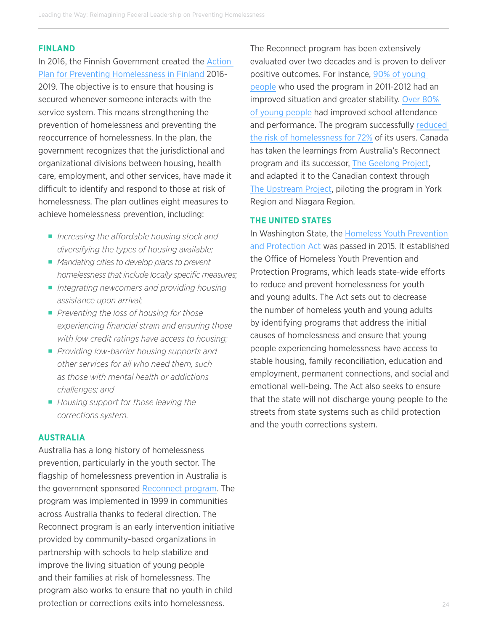#### **FINLAND**

In 2016, the Finnish Government created the [Action](http://homelesshub.ca/resource/action-plan-preventing-homelessness-finland-2016%E2%80%932019)  [Plan for Preventing Homelessness in Finland](http://homelesshub.ca/resource/action-plan-preventing-homelessness-finland-2016%E2%80%932019) 2016- 2019. The objective is to ensure that housing is secured whenever someone interacts with the service system. This means strengthening the prevention of homelessness and preventing the reoccurrence of homelessness. In the plan, the government recognizes that the jurisdictional and organizational divisions between housing, health care, employment, and other services, have made it difficult to identify and respond to those at risk of homelessness. The plan outlines eight measures to achieve homelessness prevention, including:

- *Increasing the affordable housing stock and diversifying the types of housing available;*
- *Mandating cities to develop plans to prevent homelessness that include locally specific measures;*
- *Integrating newcomers and providing housing assistance upon arrival;*
- *Preventing the loss of housing for those experiencing financial strain and ensuring those with low credit ratings have access to housing;*
- *Providing low-barrier housing supports and other services for all who need them, such as those with mental health or addictions challenges; and*
- ¡ *Housing support for those leaving the corrections system.*

#### **AUSTRALIA**

Australia has a long history of homelessness prevention, particularly in the youth sector. The flagship of homelessness prevention in Australia is the government sponsored [Reconnect program](https://www.dss.gov.au/families-and-children/programmes-services/reconnect). The program was implemented in 1999 in communities across Australia thanks to federal direction. The Reconnect program is an early intervention initiative provided by community-based organizations in partnership with schools to help stabilize and improve the living situation of young people and their families at risk of homelessness. The program also works to ensure that no youth in child protection or corrections exits into homelessness.

The Reconnect program has been extensively evaluated over two decades and is proven to deliver positive outcomes. For instance, 90% of young [people](https://www.dss.gov.au/sites/default/files/documents/02_2013/dept_review_of_the_reconnect_program.pdf) who used the program in 2011-2012 had an improved situation and greater stability. [Over 80%](https://www.dss.gov.au/sites/default/files/documents/02_2013/dept_review_of_the_reconnect_program.pdf)  [of young people](https://www.dss.gov.au/sites/default/files/documents/02_2013/dept_review_of_the_reconnect_program.pdf) had improved school attendance and performance. The program successfully reduced [the risk of homelessness for 72%](https://www.dss.gov.au/sites/default/files/documents/02_2013/dept_review_of_the_reconnect_program.pdf) of its users. Canada has taken the learnings from Australia's Reconnect program and its successor, [The Geelong Project](http://www.thegeelongproject.com.au/), and adapted it to the Canadian context through [The Upstream Project](http://www.raisingtheroof.org/what-we-do/our-initiatives/the-upstream-project/), piloting the program in York Region and Niagara Region.

#### **THE UNITED STATES**

In Washington State, the [Homeless Youth Prevention](http://lawfilesext.leg.wa.gov/biennium/2015-16/Pdf/Bill Reports/House/5404-S2 HBR ELHS 15.pdf)  [and Protection Act](http://lawfilesext.leg.wa.gov/biennium/2015-16/Pdf/Bill Reports/House/5404-S2 HBR ELHS 15.pdf) was passed in 2015. It established the Office of Homeless Youth Prevention and Protection Programs, which leads state-wide efforts to reduce and prevent homelessness for youth and young adults. The Act sets out to decrease the number of homeless youth and young adults by identifying programs that address the initial causes of homelessness and ensure that young people experiencing homelessness have access to stable housing, family reconciliation, education and employment, permanent connections, and social and emotional well-being. The Act also seeks to ensure that the state will not discharge young people to the streets from state systems such as child protection and the youth corrections system.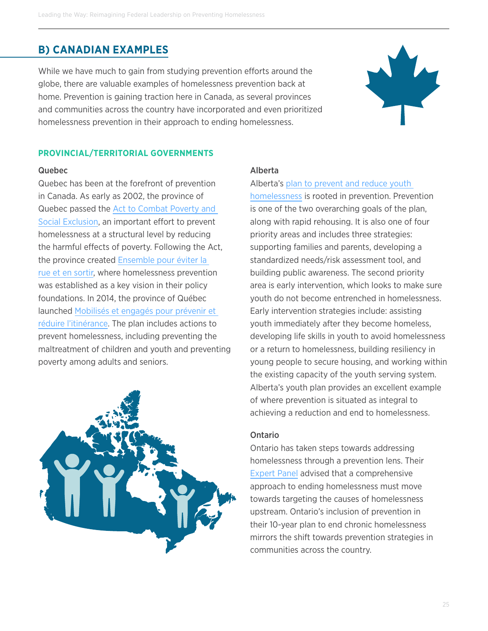#### **B) CANADIAN EXAMPLES**

While we have much to gain from studying prevention efforts around the globe, there are valuable examples of homelessness prevention back at home. Prevention is gaining traction here in Canada, as several provinces and communities across the country have incorporated and even prioritized homelessness prevention in their approach to ending homelessness.



#### **PROVINCIAL/TERRITORIAL GOVERNMENTS**

#### Quebec

Quebec has been at the forefront of prevention in Canada. As early as 2002, the province of Quebec passed the [Act to Combat Poverty and](http://www.ncchpp.ca/docs/Loi112FactsApplicationEN.pdf)  [Social Exclusion](http://www.ncchpp.ca/docs/Loi112FactsApplicationEN.pdf), an important effort to prevent homelessness at a structural level by reducing the harmful effects of poverty. Following the Act, the province created [Ensemble pour éviter la](http://publications.msss.gouv.qc.ca/msss/fichiers/2013/13-846-03F.pdf)  [rue et en sortir](http://publications.msss.gouv.qc.ca/msss/fichiers/2013/13-846-03F.pdf), where homelessness prevention was established as a key vision in their policy foundations. In 2014, the province of Québec launched [Mobilisés et engagés pour prévenir et](http://publications.msss.gouv.qc.ca/msss/fichiers/2014/14-846-02W.pdf)  [réduire l'itinérance](http://publications.msss.gouv.qc.ca/msss/fichiers/2014/14-846-02W.pdf). The plan includes actions to prevent homelessness, including preventing the maltreatment of children and youth and preventing poverty among adults and seniors.



#### Alberta

#### Alberta's plan to prevent and reduce youth

[homelessness](http://www.humanservices.alberta.ca/documents/plan-to-prevent-and-reduce-youth-homelessness.pdf) is rooted in prevention. Prevention is one of the two overarching goals of the plan, along with rapid rehousing. It is also one of four priority areas and includes three strategies: supporting families and parents, developing a standardized needs/risk assessment tool, and building public awareness. The second priority area is early intervention, which looks to make sure youth do not become entrenched in homelessness. Early intervention strategies include: assisting youth immediately after they become homeless, developing life skills in youth to avoid homelessness or a return to homelessness, building resiliency in young people to secure housing, and working within the existing capacity of the youth serving system. Alberta's youth plan provides an excellent example of where prevention is situated as integral to achieving a reduction and end to homelessness.

#### Ontario

Ontario has taken steps towards addressing homelessness through a prevention lens. Their [Expert Panel](http://www.mah.gov.on.ca/AssetFactory.aspx?did=11038) advised that a comprehensive approach to ending homelessness must move towards targeting the causes of homelessness upstream. Ontario's inclusion of prevention in their 10-year plan to end chronic homelessness mirrors the shift towards prevention strategies in communities across the country.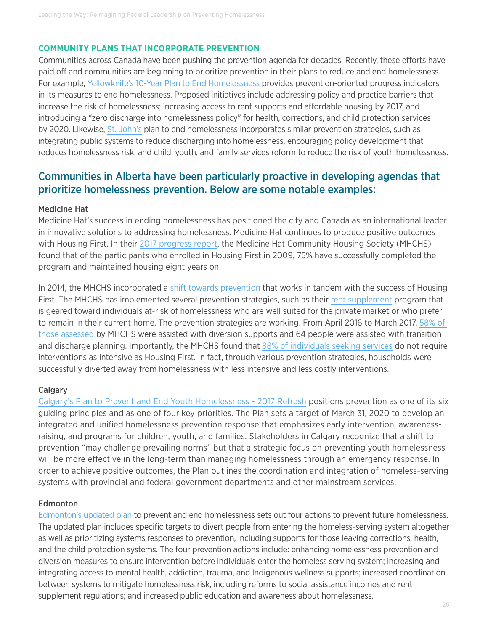#### **COMMUNITY PLANS THAT INCORPORATE PREVENTION**

Communities across Canada have been pushing the prevention agenda for decades. Recently, these efforts have paid off and communities are beginning to prioritize prevention in their plans to reduce and end homelessness. For example, [Yellowknife's 10-Year Plan to End Homelessness](https://www.yellowknife.ca/en/living-here/resources/Homelessness/EVERYONE-IS-HOME---YELLOWKNIFE-10-YEAR-PLAN-TO-END-HOMELESSNESS-FINAL-REPORT-JULY-2017.pdf) provides prevention-oriented progress indicators in its measures to end homelessness. Proposed initiatives include addressing policy and practice barriers that increase the risk of homelessness; increasing access to rent supports and affordable housing by 2017, and introducing a "zero discharge into homelessness policy" for health, corrections, and child protection services by 2020. Likewise, [St. John's](http://homelesshub.ca/sites/default/files/YYT-Community-Plan-2014-2019.pdf) plan to end homelessness incorporates similar prevention strategies, such as integrating public systems to reduce discharging into homelessness, encouraging policy development that reduces homelessness risk, and child, youth, and family services reform to reduce the risk of youth homelessness.

#### Communities in Alberta have been particularly proactive in developing agendas that prioritize homelessness prevention. Below are some notable examples:

#### Medicine Hat

Medicine Hat's success in ending homelessness has positioned the city and Canada as an international leader in innovative solutions to addressing homelessness. Medicine Hat continues to produce positive outcomes with Housing First. In their [2017 progress report,](http://production.mhchs.ca/static/main-site/files/housing-development/Year-7-Progress-Report.pdf) the Medicine Hat Community Housing Society (MHCHS) found that of the participants who enrolled in Housing First in 2009, 75% have successfully completed the program and maintained housing eight years on.

In 2014, the MHCHS incorporated a [shift towards prevention](http://www.mhchs.ca/housing-development/the-plan-end-homelessness/) that works in tandem with the success of Housing First. The MHCHS has implemented several prevention strategies, such as their [rent supplement](http://www.mhchs.ca/programs-services/rent-supplement/) program that is geared toward individuals at-risk of homelessness who are well suited for the private market or who prefer to remain in their current home. The prevention strategies are working. From April 2016 to March 2017, [58% of](http://production.mhchs.ca/static/main-site/files/housing-development/Year-7-Progress-Report.pdf)  [those assessed](http://production.mhchs.ca/static/main-site/files/housing-development/Year-7-Progress-Report.pdf) by MHCHS were assisted with diversion supports and 64 people were assisted with transition and discharge planning. Importantly, the MHCHS found that [88% of individuals seeking services](http://medicinehatnews.com/news/local-news/2017/06/17/homelessness-efforts-will-expand-beyond-the-scope-of-housing-first/) do not require interventions as intensive as Housing First. In fact, through various prevention strategies, households were successfully diverted away from homelessness with less intensive and less costly interventions.

#### **Calgary**

[Calgary's Plan to Prevent and End Youth Homelessness - 2017 Refresh](http://homelesshub.ca/sites/default/files/Youth_Plan_Refresh_2017.pdf) positions prevention as one of its six guiding principles and as one of four key priorities. The Plan sets a target of March 31, 2020 to develop an integrated and unified homelessness prevention response that emphasizes early intervention, awarenessraising, and programs for children, youth, and families. Stakeholders in Calgary recognize that a shift to prevention "may challenge prevailing norms" but that a strategic focus on preventing youth homelessness will be more effective in the long-term than managing homelessness through an emergency response. In order to achieve positive outcomes, the Plan outlines the coordination and integration of homeless-serving systems with provincial and federal government departments and other mainstream services.

#### **Edmonton**

[Edmonton's updated plan](http://endhomelessnessyeg.ca/wp-content/uploads/2017/07/Edmonton-Full-Booklet-web.pdf) to prevent and end homelessness sets out four actions to prevent future homelessness. The updated plan includes specific targets to divert people from entering the homeless-serving system altogether as well as prioritizing systems responses to prevention, including supports for those leaving corrections, health, and the child protection systems. The four prevention actions include: enhancing homelessness prevention and diversion measures to ensure intervention before individuals enter the homeless serving system; increasing and integrating access to mental health, addiction, trauma, and Indigenous wellness supports; increased coordination between systems to mitigate homelessness risk, including reforms to social assistance incomes and rent supplement regulations; and increased public education and awareness about homelessness.